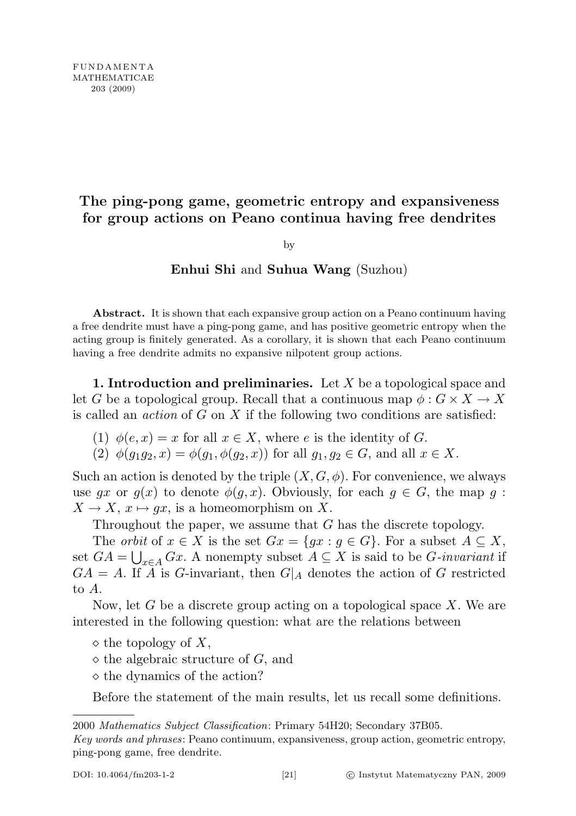## The ping-pong game, geometric entropy and expansiveness for group actions on Peano continua having free dendrites

by

## Enhui Shi and Suhua Wang (Suzhou)

Abstract. It is shown that each expansive group action on a Peano continuum having a free dendrite must have a ping-pong game, and has positive geometric entropy when the acting group is finitely generated. As a corollary, it is shown that each Peano continuum having a free dendrite admits no expansive nilpotent group actions.

1. Introduction and preliminaries. Let  $X$  be a topological space and let G be a topological group. Recall that a continuous map  $\phi: G \times X \to X$ is called an *action* of  $G$  on  $X$  if the following two conditions are satisfied:

- (1)  $\phi(e, x) = x$  for all  $x \in X$ , where e is the identity of G.
- (2)  $\phi(q_1q_2, x) = \phi(q_1, \phi(q_2, x))$  for all  $q_1, q_2 \in G$ , and all  $x \in X$ .

Such an action is denoted by the triple  $(X, G, \phi)$ . For convenience, we always use gx or  $g(x)$  to denote  $\phi(g, x)$ . Obviously, for each  $g \in G$ , the map g:  $X \to X$ ,  $x \mapsto qx$ , is a homeomorphism on X.

Throughout the paper, we assume that G has the discrete topology.

The *orbit* of  $x \in X$  is the set  $Gx = \{gx : g \in G\}$ . For a subset  $A \subseteq X$ , set  $GA = \bigcup_{x \in A} Gx$ . A nonempty subset  $A \subseteq X$  is said to be G-invariant if  $GA = A$ . If  $\overline{A}$  is G-invariant, then  $G|_A$  denotes the action of G restricted to A.

Now, let  $G$  be a discrete group acting on a topological space  $X$ . We are interested in the following question: what are the relations between

- $\diamond$  the topology of X,
- $\diamond$  the algebraic structure of G, and
- $\diamond$  the dynamics of the action?

Before the statement of the main results, let us recall some definitions.

<sup>2000</sup> Mathematics Subject Classification: Primary 54H20; Secondary 37B05.

Key words and phrases: Peano continuum, expansiveness, group action, geometric entropy, ping-pong game, free dendrite.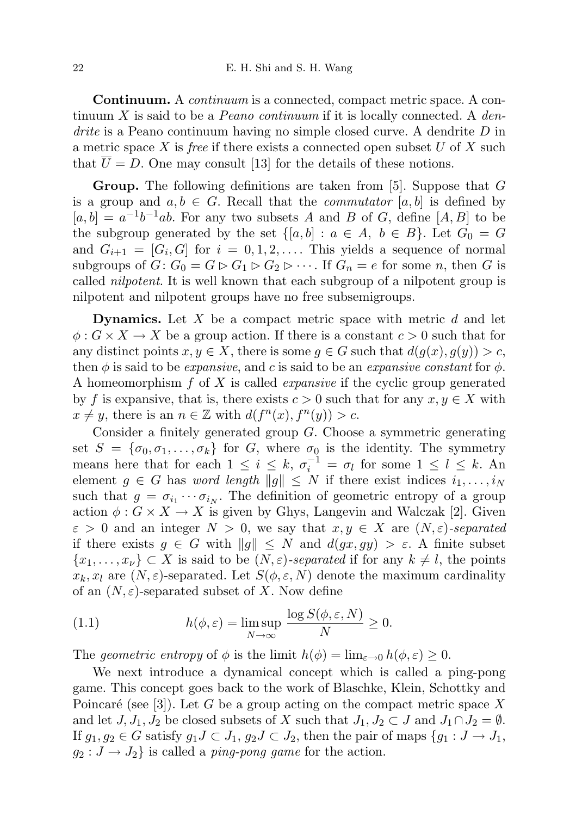**Continuum.** A *continuum* is a connected, compact metric space. A continuum X is said to be a *Peano continuum* if it is locally connected. A *den*- $\textit{drive}$  is a Peano continuum having no simple closed curve. A dendrite D in a metric space X is free if there exists a connected open subset  $U$  of X such that  $\overline{U} = D$ . One may consult [13] for the details of these notions.

Group. The following definitions are taken from [5]. Suppose that G is a group and  $a, b \in G$ . Recall that the *commutator* [a, b] is defined by  $[a, b] = a^{-1}b^{-1}ab$ . For any two subsets A and B of G, define [A, B] to be the subgroup generated by the set  $\{[a, b] : a \in A, b \in B\}$ . Let  $G_0 = G$ and  $G_{i+1} = [G_i, G]$  for  $i = 0, 1, 2, \ldots$ . This yields a sequence of normal subgroups of  $G: G_0 = G \triangleright G_1 \triangleright G_2 \triangleright \cdots$ . If  $G_n = e$  for some n, then G is called nilpotent. It is well known that each subgroup of a nilpotent group is nilpotent and nilpotent groups have no free subsemigroups.

**Dynamics.** Let  $X$  be a compact metric space with metric  $d$  and let  $\phi: G \times X \to X$  be a group action. If there is a constant  $c > 0$  such that for any distinct points  $x, y \in X$ , there is some  $g \in G$  such that  $d(g(x), g(y)) > c$ , then  $\phi$  is said to be *expansive*, and c is said to be an *expansive constant* for  $\phi$ . A homeomorphism f of X is called expansive if the cyclic group generated by f is expansive, that is, there exists  $c > 0$  such that for any  $x, y \in X$  with  $x \neq y$ , there is an  $n \in \mathbb{Z}$  with  $d(f^{n}(x), f^{n}(y)) > c$ .

Consider a finitely generated group G. Choose a symmetric generating set  $S = {\sigma_0, \sigma_1, \ldots, \sigma_k}$  for G, where  $\sigma_0$  is the identity. The symmetry means here that for each  $1 \leq i \leq k$ ,  $\sigma_i^{-1} = \sigma_l$  for some  $1 \leq l \leq k$ . An element  $g \in G$  has word length  $||g|| \leq N$  if there exist indices  $i_1, \ldots, i_N$ such that  $g = \sigma_{i_1} \cdots \sigma_{i_N}$ . The definition of geometric entropy of a group action  $\phi: G \times X \to X$  is given by Ghys, Langevin and Walczak [2]. Given  $\varepsilon > 0$  and an integer  $N > 0$ , we say that  $x, y \in X$  are  $(N, \varepsilon)$ -separated if there exists  $g \in G$  with  $||g|| \leq N$  and  $d(gx, gy) > \varepsilon$ . A finite subset  $\{x_1, \ldots, x_\nu\} \subset X$  is said to be  $(N, \varepsilon)$ -separated if for any  $k \neq l$ , the points  $x_k, x_l$  are  $(N, \varepsilon)$ -separated. Let  $S(\phi, \varepsilon, N)$  denote the maximum cardinality of an  $(N, \varepsilon)$ -separated subset of X. Now define

(1.1) 
$$
h(\phi,\varepsilon) = \limsup_{N \to \infty} \frac{\log S(\phi,\varepsilon,N)}{N} \ge 0.
$$

The geometric entropy of  $\phi$  is the limit  $h(\phi) = \lim_{\varepsilon \to 0} h(\phi, \varepsilon) \geq 0$ .

We next introduce a dynamical concept which is called a ping-pong game. This concept goes back to the work of Blaschke, Klein, Schottky and Poincaré (see [3]). Let G be a group acting on the compact metric space X and let  $J, J_1, J_2$  be closed subsets of X such that  $J_1, J_2 \subset J$  and  $J_1 \cap J_2 = \emptyset$ . If  $g_1, g_2 \in G$  satisfy  $g_1 J \subset J_1, g_2 J \subset J_2$ , then the pair of maps  $\{g_1 : J \to J_1,$  $g_2: J \to J_2$  is called a *ping-pong game* for the action.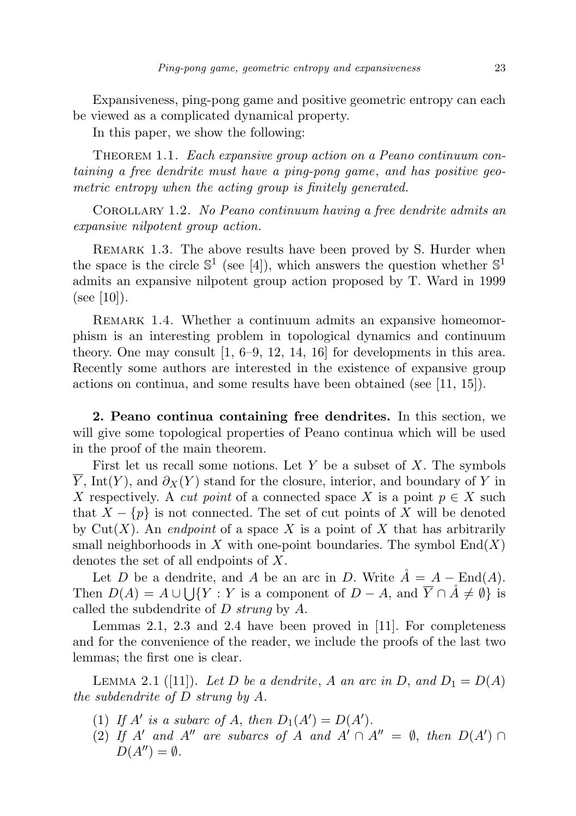Expansiveness, ping-pong game and positive geometric entropy can each be viewed as a complicated dynamical property.

In this paper, we show the following:

THEOREM 1.1. Each expansive group action on a Peano continuum containing a free dendrite must have a ping-pong game, and has positive geometric entropy when the acting group is finitely generated.

Corollary 1.2. No Peano continuum having a free dendrite admits an expansive nilpotent group action.

REMARK 1.3. The above results have been proved by S. Hurder when the space is the circle  $\mathbb{S}^1$  (see [4]), which answers the question whether  $\mathbb{S}^1$ admits an expansive nilpotent group action proposed by T. Ward in 1999 (see [10]).

REMARK 1.4. Whether a continuum admits an expansive homeomorphism is an interesting problem in topological dynamics and continuum theory. One may consult [1, 6–9, 12, 14, 16] for developments in this area. Recently some authors are interested in the existence of expansive group actions on continua, and some results have been obtained (see [11, 15]).

2. Peano continua containing free dendrites. In this section, we will give some topological properties of Peano continua which will be used in the proof of the main theorem.

First let us recall some notions. Let Y be a subset of X. The symbols Y, Int(Y), and  $\partial_X(Y)$  stand for the closure, interior, and boundary of Y in X respectively. A *cut point* of a connected space X is a point  $p \in X$  such that  $X - \{p\}$  is not connected. The set of cut points of X will be denoted by Cut(X). An *endpoint* of a space X is a point of X that has arbitrarily small neighborhoods in X with one-point boundaries. The symbol  $End(X)$ denotes the set of all endpoints of X.

Let D be a dendrite, and A be an arc in D. Write  $A = A - \text{End}(A)$ . Then  $D(A) = A \cup \bigcup \{ Y : Y \text{ is a component of } D - A, \text{ and } \overline{Y} \cap A \neq \emptyset \}$  is called the subdendrite of  $D$  strung by  $A$ .

Lemmas 2.1, 2.3 and 2.4 have been proved in [11]. For completeness and for the convenience of the reader, we include the proofs of the last two lemmas; the first one is clear.

LEMMA 2.1 ([11]). Let D be a dendrite, A an arc in D, and  $D_1 = D(A)$ the subdendrite of D strung by A.

- (1) If A' is a subarc of A, then  $D_1(A') = D(A')$ .
- (2) If A' and A" are subarcs of A and  $A' \cap A'' = \emptyset$ , then  $D(A') \cap A$  $D(A'') = \emptyset$ .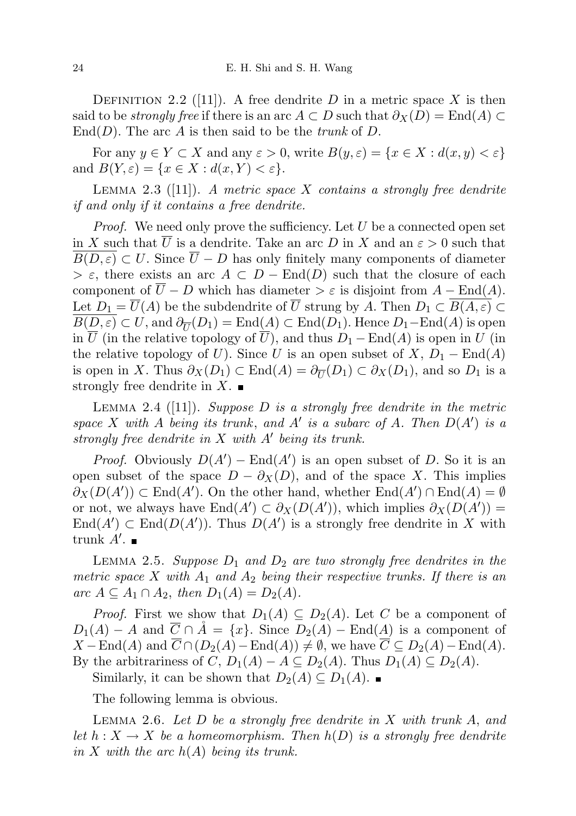DEFINITION 2.2 ([11]). A free dendrite D in a metric space X is then said to be *strongly free* if there is an arc  $A \subset D$  such that  $\partial_X(D) = \text{End}(A) \subset$  $\text{End}(D)$ . The arc A is then said to be the *trunk* of D.

For any  $y \in Y \subset X$  and any  $\varepsilon > 0$ , write  $B(y, \varepsilon) = \{x \in X : d(x, y) < \varepsilon\}$ and  $B(Y, \varepsilon) = \{x \in X : d(x, Y) < \varepsilon\}.$ 

LEMMA 2.3 ([11]). A metric space X contains a strongly free dendrite if and only if it contains a free dendrite.

*Proof.* We need only prove the sufficiency. Let  $U$  be a connected open set in X such that  $\overline{U}$  is a dendrite. Take an arc D in X and an  $\varepsilon > 0$  such that  $\overline{B(D,\varepsilon)} \subset U$ . Since  $\overline{U} - D$  has only finitely many components of diameter  $> \varepsilon$ , there exists an arc  $A \subset D - \text{End}(D)$  such that the closure of each component of  $\overline{U} - D$  which has diameter >  $\varepsilon$  is disjoint from  $A - \text{End}(A)$ . Let  $D_1 = \overline{U}(A)$  be the subdendrite of  $\overline{U}$  strung by A. Then  $D_1 \subset \overline{B(A,\varepsilon)} \subset$  $B(D, \varepsilon) \subset U$ , and  $\partial_{\overline{U}}(D_1) = \text{End}(A) \subset \text{End}(D_1)$ . Hence  $D_1-\text{End}(A)$  is open in  $\overline{U}$  (in the relative topology of  $\overline{U}$ ), and thus  $D_1 - \text{End}(A)$  is open in U (in the relative topology of U). Since U is an open subset of  $X, D_1 - \text{End}(A)$ is open in X. Thus  $\partial_X(D_1) \subset \text{End}(A) = \partial_{\overline{U}}(D_1) \subset \partial_X(D_1)$ , and so  $D_1$  is a strongly free dendrite in  $X$ .

LEMMA 2.4 ([11]). Suppose  $D$  is a strongly free dendrite in the metric space X with A being its trunk, and A' is a subarc of A. Then  $D(A')$  is a strongly free dendrite in  $X$  with  $A'$  being its trunk.

*Proof.* Obviously  $D(A')$  – End $(A')$  is an open subset of D. So it is an open subset of the space  $D - \partial_X(D)$ , and of the space X. This implies  $\partial_X(D(A')) \subset \text{End}(A')$ . On the other hand, whether  $\text{End}(A') \cap \text{End}(A) = \emptyset$ or not, we always have  $\text{End}(A') \subset \partial_X(D(A'))$ , which implies  $\partial_X(D(A')) =$  $\text{End}(A') \subset \text{End}(D(A'))$ . Thus  $D(A')$  is a strongly free dendrite in X with trunk  $A'$ .

LEMMA 2.5. Suppose  $D_1$  and  $D_2$  are two strongly free dendrites in the metric space X with  $A_1$  and  $A_2$  being their respective trunks. If there is an arc  $A \subseteq A_1 \cap A_2$ , then  $D_1(A) = D_2(A)$ .

*Proof.* First we show that  $D_1(A) \subseteq D_2(A)$ . Let C be a component of  $D_1(A) - A$  and  $\overline{C} \cap \AA = \{x\}.$  Since  $D_2(A) - \text{End}(A)$  is a component of  $X-\text{End}(A)$  and  $\overline{C} \cap (D_2(A)-\text{End}(A)) \neq \emptyset$ , we have  $\overline{C} \subseteq D_2(A)-\text{End}(A)$ . By the arbitrariness of C,  $D_1(A) - A \subseteq D_2(A)$ . Thus  $D_1(A) \subseteq D_2(A)$ .

Similarly, it can be shown that  $D_2(A) \subseteq D_1(A)$ . ■

The following lemma is obvious.

LEMMA 2.6. Let  $D$  be a strongly free dendrite in  $X$  with trunk  $A$ , and let  $h: X \to X$  be a homeomorphism. Then  $h(D)$  is a strongly free dendrite in X with the arc  $h(A)$  being its trunk.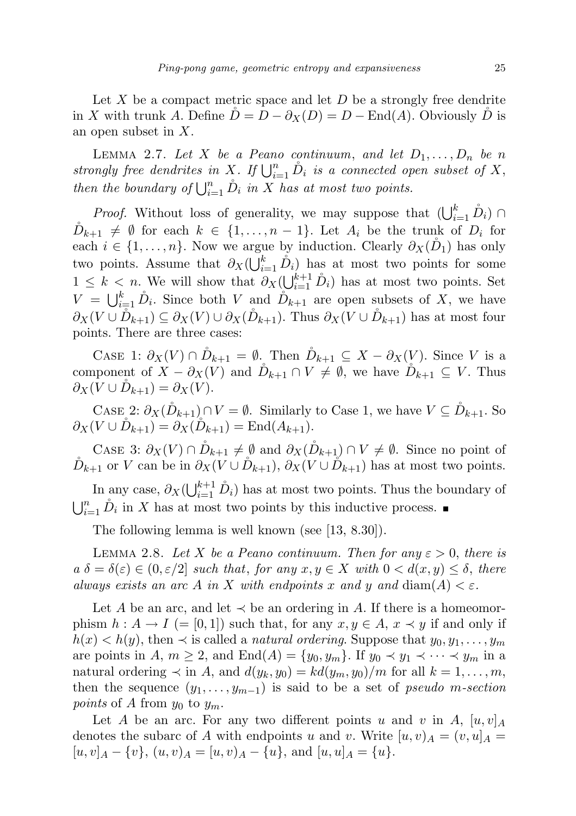Let  $X$  be a compact metric space and let  $D$  be a strongly free dendrite in X with trunk A. Define  $\tilde{D} = D - \partial_X(D) = D - \text{End}(A)$ . Obviously  $\tilde{D}$  is an open subset in X.

LEMMA 2.7. Let X be a Peano continuum, and let  $D_1, \ldots, D_n$  be n strongly free dendrites in X. If  $\bigcup_{i=1}^n \hat{D}_i$  is a connected open subset of X, then the boundary of  $\bigcup_{i=1}^n \overset{\circ}{D}_i$  in X has at most two points.

*Proof.* Without loss of generality, we may suppose that  $(\bigcup_{i=1}^k \hat{D}_i)$  $\tilde{D}_{k+1} \neq \emptyset$  for each  $k \in \{1, ..., n-1\}$ . Let  $A_i$  be the trunk of  $D_i$  for each  $i \in \{1, \ldots, n\}$ . Now we argue by induction. Clearly  $\partial_X(\tilde{D}_1)$  has only two points. Assume that  $\partial_X(\bigcup_{i=1}^k \hat{D}_i)$  has at most two points for some  $1 \leq k \leq n$ . We will show that  $\partial_X(\bigcup_{i=1}^{k+1} \hat{D}_i)$  has at most two points. Set  $V = \bigcup_{i=1}^k \hat{D}_i$ . Since both V and  $\hat{D}_{k+1}$  are open subsets of X, we have  $\partial_X(V \cup \tilde{D}_{k+1}) \subseteq \partial_X(V) \cup \partial_X(\tilde{D}_{k+1})$ . Thus  $\partial_X(V \cup \tilde{D}_{k+1})$  has at most four points. There are three cases:

CASE 1:  $\partial_X(V) \cap \mathring{D}_{k+1} = \emptyset$ . Then  $\mathring{D}_{k+1} \subseteq X - \partial_X(V)$ . Since V is a component of  $X - \partial_X(V)$  and  $\tilde{D}_{k+1} \cap V \neq \emptyset$ , we have  $\tilde{D}_{k+1} \subseteq V$ . Thus  $\partial_X(V \cup \tilde{D}_{k+1}) = \partial_X(V).$ 

CASE 2:  $\partial_X(\mathring{D}_{k+1}) \cap V = \emptyset$ . Similarly to Case 1, we have  $V \subseteq \mathring{D}_{k+1}$ . So  $\partial_X(V \cup \overline{D}_{k+1}) = \partial_X(\overline{D}_{k+1}) = \text{End}(A_{k+1}).$ 

CASE 3:  $\partial_X(V) \cap D_{k+1} \neq \emptyset$  and  $\partial_X(D_{k+1}) \cap V \neq \emptyset$ . Since no point of  $\tilde{D}_{k+1}$  or V can be in  $\partial_X(V \cup \tilde{D}_{k+1}), \partial_X(V \cup \tilde{D}_{k+1})$  has at most two points.

In any case,  $\partial_X(\bigcup_{i=1}^{k+1} D_i)$  has at most two points. Thus the boundary of  $\bigcup_{i=1}^n \overset{\circ}{D}_i$  in X has at most two points by this inductive process.

The following lemma is well known (see [13, 8.30]).

LEMMA 2.8. Let X be a Peano continuum. Then for any  $\varepsilon > 0$ , there is  $a \delta = \delta(\varepsilon) \in (0, \varepsilon/2]$  such that, for any  $x, y \in X$  with  $0 < d(x, y) \leq \delta$ , there always exists an arc A in X with endpoints x and y and  $\text{diam}(A) < \varepsilon$ .

Let A be an arc, and let  $\prec$  be an ordering in A. If there is a homeomorphism  $h : A \to I$  (= [0,1]) such that, for any  $x, y \in A$ ,  $x \prec y$  if and only if  $h(x) < h(y)$ , then  $\prec$  is called a *natural ordering*. Suppose that  $y_0, y_1, \ldots, y_m$ are points in A,  $m \geq 2$ , and  $\text{End}(A) = \{y_0, y_m\}$ . If  $y_0 \prec y_1 \prec \cdots \prec y_m$  in a natural ordering  $\prec$  in A, and  $d(y_k, y_0) = kd(y_m, y_0)/m$  for all  $k = 1, ..., m$ , then the sequence  $(y_1, \ldots, y_{m-1})$  is said to be a set of pseudo m-section points of A from  $y_0$  to  $y_m$ .

Let A be an arc. For any two different points u and v in A,  $[u, v]_A$ denotes the subarc of A with endpoints u and v. Write  $[u, v)_A = (v, u]_A =$  $[u, v]_A - \{v\}, (u, v)_A = [u, v]_A - \{u\}, \text{ and } [u, u]_A = \{u\}.$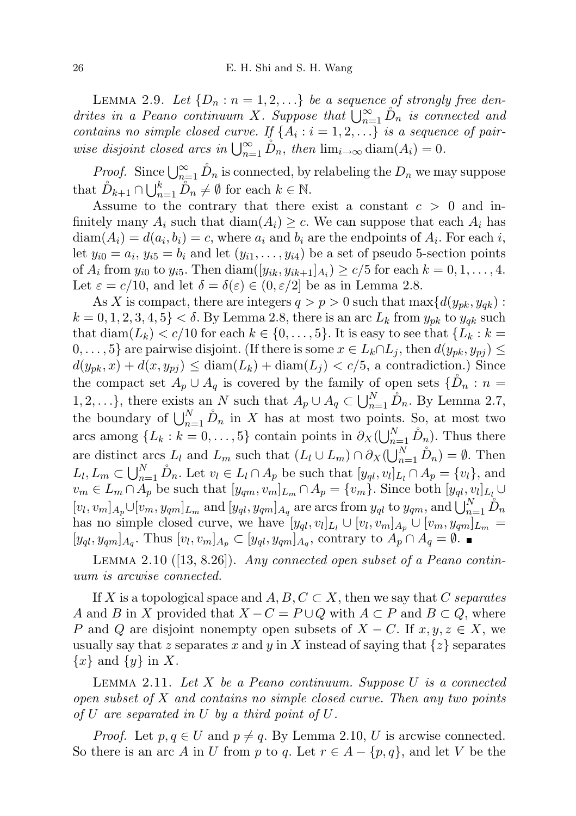LEMMA 2.9. Let  $\{D_n : n = 1, 2, ...\}$  be a sequence of strongly free dendrites in a Peano continuum X. Suppose that  $\bigcup_{n=1}^{\infty} D_n$  is connected and contains no simple closed curve. If  $\{A_i : i = 1, 2, ...\}$  is a sequence of pairwise disjoint closed arcs in  $\bigcup_{n=1}^{\infty} \mathring{D}_n$ , then  $\lim_{i\to\infty} \text{diam}(A_i) = 0$ .

*Proof.* Since  $\bigcup_{n=1}^{\infty} D_n$  is connected, by relabeling the  $D_n$  we may suppose that  $\mathring{D}_{k+1} \cap \bigcup_{n=1}^{k} \mathring{D}_n \neq \emptyset$  for each  $k \in \mathbb{N}$ .

Assume to the contrary that there exist a constant  $c > 0$  and infinitely many  $A_i$  such that  $\text{diam}(A_i) \geq c$ . We can suppose that each  $A_i$  has  $diam(A_i) = d(a_i, b_i) = c$ , where  $a_i$  and  $b_i$  are the endpoints of  $A_i$ . For each i, let  $y_{i0} = a_i$ ,  $y_{i5} = b_i$  and let  $(y_{i1}, \ldots, y_{i4})$  be a set of pseudo 5-section points of  $A_i$  from  $y_{i0}$  to  $y_{i5}$ . Then  $\text{diam}([y_{ik}, y_{ik+1}]_{A_i}) \ge c/5$  for each  $k = 0, 1, ..., 4$ . Let  $\varepsilon = c/10$ , and let  $\delta = \delta(\varepsilon) \in (0, \varepsilon/2]$  be as in Lemma 2.8.

As X is compact, there are integers  $q > p > 0$  such that  $\max\{d(y_{pk}, y_{qk})$ :  $k = 0, 1, 2, 3, 4, 5$  <  $\delta$ . By Lemma 2.8, there is an arc  $L_k$  from  $y_{pk}$  to  $y_{qk}$  such that diam( $L_k$ ) < c/10 for each  $k \in \{0, \ldots, 5\}$ . It is easy to see that  $\{L_k : k =$  $0, \ldots, 5\}$  are pairwise disjoint. (If there is some  $x \in L_k \cap L_j$ , then  $d(y_{pk}, y_{pj}) \leq$  $d(y_{pk}, x) + d(x, y_{pj}) \leq diam(L_k) + diam(L_j) < c/5$ , a contradiction.) Since the compact set  $A_p \cup A_q$  is covered by the family of open sets  $\{\check{D}_n : n =$ 1, 2, ...}, there exists an N such that  $A_p \cup A_q \subset \bigcup_{n=1}^N \hat{D}_n$ . By Lemma 2.7, the boundary of  $\bigcup_{n=1}^N \mathring{D}_n$  in X has at most two points. So, at most two arcs among  $\{L_k : k = 0, \ldots, 5\}$  contain points in  $\partial_X(\bigcup_{n=1}^N \mathring{D}_n)$ . Thus there are distinct arcs  $L_l$  and  $L_m$  such that  $(L_l \cup L_m) \cap \partial_X(\bigcup_{n=1}^N \mathring{D}_n) = \emptyset$ . Then  $L_l, L_m \subset \bigcup_{n=1}^N \mathring{D}_n$ . Let  $v_l \in L_l \cap A_p$  be such that  $[y_{ql}, v_l]_{L_l} \cap A_p = \{v_l\}$ , and  $v_m \in L_m \cap A_p$  be such that  $[y_{qm}, v_m]_{L_m} \cap A_p = \{v_m\}$ . Since both  $[y_{ql}, v_l]_{L_l} \cup$  $[v_l, v_m]_{A_p} \cup [v_m, y_{qm}]_{L_m}$  and  $[y_{ql}, y_{qm}]_{A_q}$  are arcs from  $y_{ql}$  to  $y_{qm}$ , and  $\bigcup_{n=1}^{N} \hat{D}_n$ has no simple closed curve, we have  $[y_{ql}, v_l]_{L_l} \cup [v_l, v_m]_{A_p} \cup [v_m, y_{qm}]_{L_m} =$  $[y_{ql}, y_{qm}]_{A_q}$ . Thus  $[v_l, v_m]_{A_p} \subset [y_{ql}, y_{qm}]_{A_q}$ , contrary to  $A_p \cap A_q = \emptyset$ .

LEMMA 2.10 ([13, 8.26]). Any connected open subset of a Peano continuum is arcwise connected.

If X is a topological space and  $A, B, C \subset X$ , then we say that C separates A and B in X provided that  $X - C = P \cup Q$  with  $A \subset P$  and  $B \subset Q$ , where P and Q are disjoint nonempty open subsets of  $X - C$ . If  $x, y, z \in X$ , we usually say that z separates x and y in X instead of saying that  $\{z\}$  separates  ${x}$  and  ${y}$  in X.

LEMMA 2.11. Let X be a Peano continuum. Suppose U is a connected open subset of  $X$  and contains no simple closed curve. Then any two points of U are separated in U by a third point of  $U$ .

*Proof.* Let  $p, q \in U$  and  $p \neq q$ . By Lemma 2.10, U is arcwise connected. So there is an arc A in U from p to q. Let  $r \in A - \{p, q\}$ , and let V be the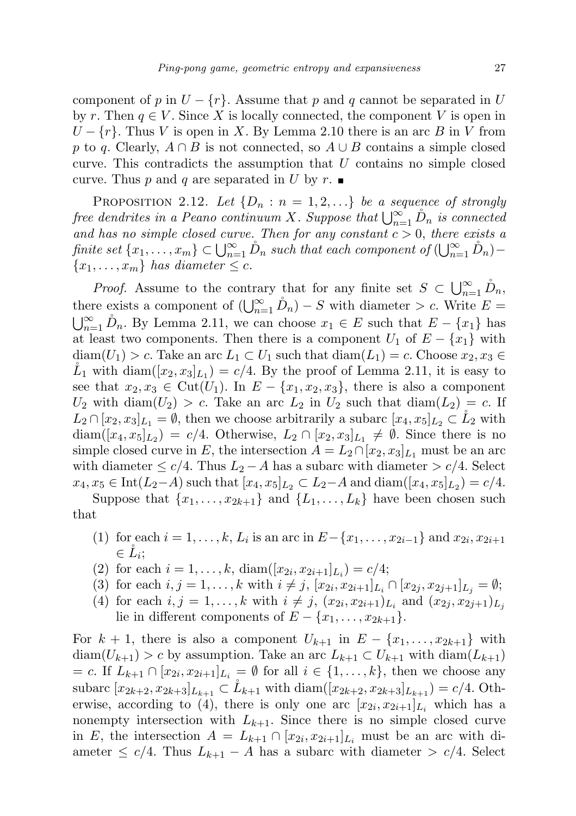component of p in  $U - \{r\}$ . Assume that p and q cannot be separated in U by r. Then  $q \in V$ . Since X is locally connected, the component V is open in  $U - \{r\}$ . Thus V is open in X. By Lemma 2.10 there is an arc B in V from p to q. Clearly,  $A \cap B$  is not connected, so  $A \cup B$  contains a simple closed curve. This contradicts the assumption that  $U$  contains no simple closed curve. Thus p and q are separated in U by r.

PROPOSITION 2.12. Let  $\{D_n : n = 1, 2, ...\}$  be a sequence of strongly free dendrites in a Peano continuum X. Suppose that  $\bigcup_{n=1}^{\infty} D_n$  is connected and has no simple closed curve. Then for any constant  $c > 0$ , there exists a finite set  $\{x_1, \ldots, x_m\} \subset \bigcup_{n=1}^{\infty} \mathring{D}_n$  such that each component of  $(\bigcup_{n=1}^{\infty} \mathring{D}_n)$  - ${x_1, \ldots, x_m}$  has diameter  $\leq c$ .

*Proof.* Assume to the contrary that for any finite set  $S \subset \bigcup_{n=1}^{\infty} D_n$ , there exists a component of  $\left(\bigcup_{n=1}^{\infty} D_n\right) - S$  with diameter > c. Write E =  $\bigcup_{n=1}^{\infty} \hat{D}_n$ . By Lemma 2.11, we can choose  $x_1 \in E$  such that  $E - \{x_1\}$  has at least two components. Then there is a component  $U_1$  of  $E - \{x_1\}$  with  $diam(U_1) > c$ . Take an arc  $L_1 \subset U_1$  such that  $diam(L_1) = c$ . Choose  $x_2, x_3 \in$  $\mathring{L}_1$  with  $\text{diam}([x_2, x_3]_{L_1}) = c/4$ . By the proof of Lemma 2.11, it is easy to see that  $x_2, x_3 \in \text{Cut}(U_1)$ . In  $E - \{x_1, x_2, x_3\}$ , there is also a component  $U_2$  with diam $(U_2) > c$ . Take an arc  $L_2$  in  $U_2$  such that diam $(L_2) = c$ . If  $L_2 \cap [x_2, x_3]_{L_1} = \emptyset$ , then we choose arbitrarily a subarc  $[x_4, x_5]_{L_2} \subset L_2$  with  $\text{diam}([x_4, x_5]_{L_2}) = c/4.$  Otherwise,  $L_2 \cap [x_2, x_3]_{L_1} \neq \emptyset$ . Since there is no simple closed curve in E, the intersection  $A = L_2 \cap [x_2, x_3]_{L_1}$  must be an arc with diameter  $\leq c/4$ . Thus  $L_2 - A$  has a subarc with diameter  $>c/4$ . Select  $x_4, x_5 \in \text{Int}(L_2-A)$  such that  $[x_4, x_5]_{L_2} \subset L_2-A$  and  $\text{diam}([x_4, x_5]_{L_2}) = c/4$ .

Suppose that  $\{x_1, \ldots, x_{2k+1}\}\$  and  $\{L_1, \ldots, L_k\}\$  have been chosen such that

- (1) for each  $i = 1, ..., k, L_i$  is an arc in  $E \{x_1, ..., x_{2i-1}\}\$  and  $x_{2i}, x_{2i+1}$  $\in \mathring{L}_i;$
- (2) for each  $i = 1, ..., k$ ,  $\text{diam}([x_{2i}, x_{2i+1}]_{L_i}) = c/4;$
- (3) for each  $i, j = 1, ..., k$  with  $i \neq j$ ,  $[x_{2i}, x_{2i+1}]_{L_i} \cap [x_{2j}, x_{2j+1}]_{L_j} = \emptyset;$
- (4) for each  $i, j = 1, ..., k$  with  $i \neq j$ ,  $(x_{2i}, x_{2i+1})_{L_i}$  and  $(x_{2j}, x_{2j+1})_{L_j}$ lie in different components of  $E - \{x_1, \ldots, x_{2k+1}\}.$

For  $k + 1$ , there is also a component  $U_{k+1}$  in  $E - \{x_1, \ldots, x_{2k+1}\}\$  with  $diam(U_{k+1}) > c$  by assumption. Take an arc  $L_{k+1} \subset U_{k+1}$  with  $diam(L_{k+1})$  $= c$ . If  $L_{k+1} \cap [x_{2i}, x_{2i+1}]_{L_i} = \emptyset$  for all  $i \in \{1, \ldots, k\}$ , then we choose any subarc  $[x_{2k+2}, x_{2k+3}]_{L_{k+1}} \subset L_{k+1}$  with  $\text{diam}([x_{2k+2}, x_{2k+3}]_{L_{k+1}}) = c/4$ . Otherwise, according to (4), there is only one arc  $[x_{2i}, x_{2i+1}]_{L_i}$  which has a nonempty intersection with  $L_{k+1}$ . Since there is no simple closed curve in E, the intersection  $A = L_{k+1} \cap [x_{2i}, x_{2i+1}]_{L_i}$  must be an arc with diameter  $\leq c/4$ . Thus  $L_{k+1} - A$  has a subarc with diameter  $\geq c/4$ . Select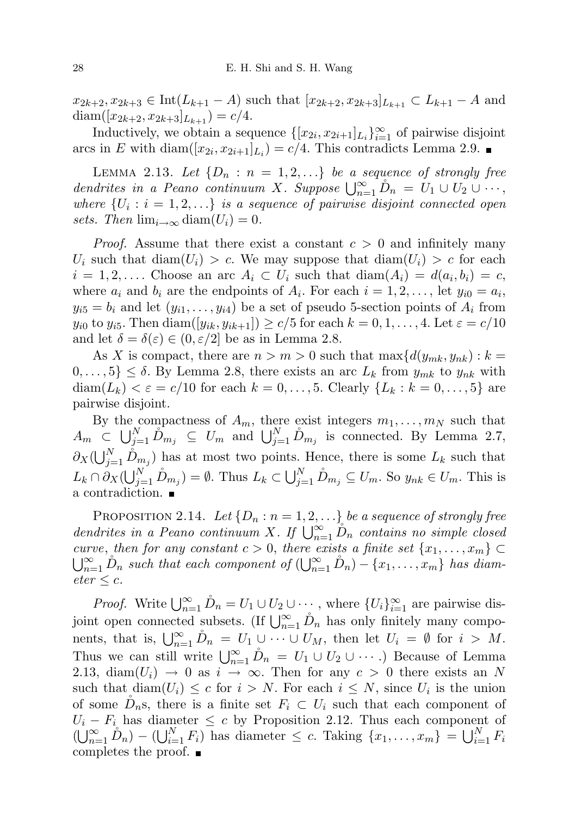$x_{2k+2}, x_{2k+3} \in \text{Int}(L_{k+1} - A)$  such that  $[x_{2k+2}, x_{2k+3}]_{L_{k+1}} \subset L_{k+1} - A$  and  $\text{diam}([x_{2k+2}, x_{2k+3}]_{L_{k+1}}) = c/4.$ 

Inductively, we obtain a sequence  $\{[x_{2i}, x_{2i+1}]_{L_i}\}_{i=1}^{\infty}$  of pairwise disjoint arcs in E with diam $([x_{2i}, x_{2i+1}]_{L_i}) = c/4$ . This contradicts Lemma 2.9.

LEMMA 2.13. Let  $\{D_n : n = 1, 2, ...\}$  be a sequence of strongly free dendrites in a Peano continuum X. Suppose  $\bigcup_{n=1}^{\infty} D_n = U_1 \cup U_2 \cup \cdots$ , where  $\{U_i : i = 1, 2, \ldots\}$  is a sequence of pairwise disjoint connected open sets. Then  $\lim_{i\to\infty}$  diam $(U_i)=0$ .

*Proof.* Assume that there exist a constant  $c > 0$  and infinitely many  $U_i$  such that  $\text{diam}(U_i) > c$ . We may suppose that  $\text{diam}(U_i) > c$  for each  $i = 1, 2, \ldots$  Choose an arc  $A_i \subset U_i$  such that  $\text{diam}(A_i) = d(a_i, b_i) = c$ , where  $a_i$  and  $b_i$  are the endpoints of  $A_i$ . For each  $i = 1, 2, \ldots$ , let  $y_{i0} = a_i$ ,  $y_{i5} = b_i$  and let  $(y_{i1}, \ldots, y_{i4})$  be a set of pseudo 5-section points of  $A_i$  from  $y_{i0}$  to  $y_{i5}$ . Then  $\text{diam}([y_{ik}, y_{ik+1}]) \ge c/5$  for each  $k = 0, 1, ..., 4$ . Let  $\varepsilon = c/10$ and let  $\delta = \delta(\varepsilon) \in (0, \varepsilon/2]$  be as in Lemma 2.8.

As X is compact, there are  $n > m > 0$  such that  $\max\{d(y_{mk}, y_{nk}) : k =$  $0, \ldots, 5$   $\leq \delta$ . By Lemma 2.8, there exists an arc  $L_k$  from  $y_{mk}$  to  $y_{nk}$  with diam $(L_k) < \varepsilon = c/10$  for each  $k = 0, \ldots, 5$ . Clearly  $\{L_k : k = 0, \ldots, 5\}$  are pairwise disjoint.

By the compactness of  $A_m$ , there exist integers  $m_1, \ldots, m_N$  such that  $A_m \subset \bigcup_{j=1}^N \hat{D}_{m_j} \subseteq U_m$  and  $\bigcup_{j=1}^N \hat{D}_{m_j}$  is connected. By Lemma 2.7,  $\partial_X(\bigcup_{j=1}^N \hat{D}_{m_j})$  has at most two points. Hence, there is some  $L_k$  such that  $L_k \cap \partial_X(\bigcup_{j=1}^N \hat{D}_{m_j}) = \emptyset$ . Thus  $L_k \subset \bigcup_{j=1}^N \hat{D}_{m_j} \subseteq U_m$ . So  $y_{nk} \in U_m$ . This is a contradiction.

PROPOSITION 2.14. Let  $\{D_n : n = 1, 2, ...\}$  be a sequence of strongly free dendrites in a Peano continuum X. If  $\bigcup_{n=1}^{\infty} D_n$  contains no simple closed curve, then for any constant  $c > 0$ , there exists a finite set  $\{x_1, \ldots, x_m\} \subset$  $\bigcup_{n=1}^{\infty} \hat{D}_n$  such that each component of  $(\bigcup_{n=1}^{\infty} \hat{D}_n) - \{x_1, \ldots, x_m\}$  has diam- $\text{eter} \leq c.$ 

*Proof.* Write  $\bigcup_{n=1}^{\infty} \mathring{D}_n = U_1 \cup U_2 \cup \cdots$ , where  $\{U_i\}_{i=1}^{\infty}$  are pairwise disjoint open connected subsets. (If  $\bigcup_{n=1}^{\infty} D_n$  has only finitely many components, that is,  $\bigcup_{n=1}^{\infty} D_n = U_1 \cup \cdots \cup U_M$ , then let  $U_i = \emptyset$  for  $i > M$ . Thus we can still write  $\bigcup_{n=1}^{\infty} \mathring{D}_n = U_1 \cup U_2 \cup \cdots$ .) Because of Lemma 2.13, diam( $U_i$ )  $\rightarrow$  0 as  $i \rightarrow \infty$ . Then for any  $c > 0$  there exists an N such that  $\text{diam}(U_i) \leq c$  for  $i > N$ . For each  $i \leq N$ , since  $U_i$  is the union of some  $D_n$ s, there is a finite set  $F_i \subset U_i$  such that each component of  $U_i - F_i$  has diameter  $\leq c$  by Proposition 2.12. Thus each component of  $(\bigcup_{n=1}^{\infty} D_n) - (\bigcup_{i=1}^{N} F_i)$  has diameter  $\leq c$ . Taking  $\{x_1, \ldots, x_m\} = \bigcup_{i=1}^{N} F_i$ completes the proof.  $\blacksquare$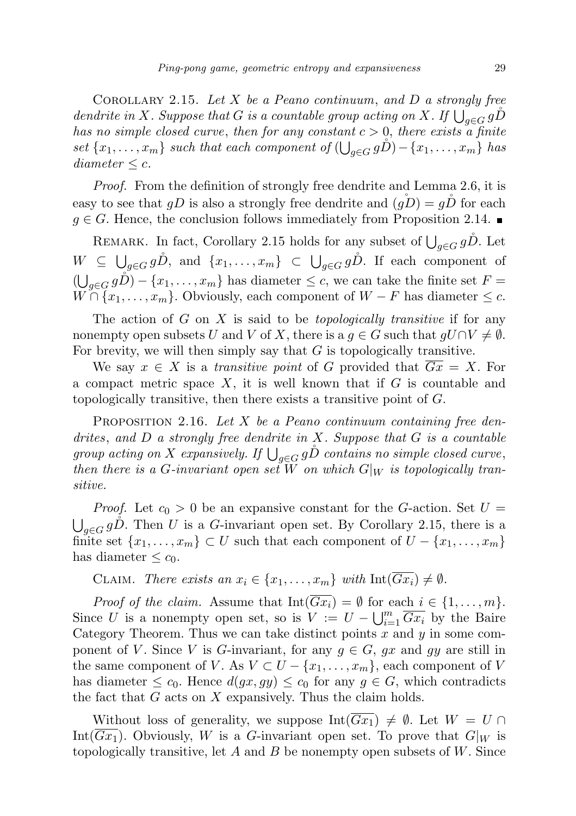COROLLARY 2.15. Let X be a Peano continuum, and D a strongly free dendrite in X. Suppose that G is a countable group acting on X. If  $\bigcup_{g\in G} g\mathring{D}$ has no simple closed curve, then for any constant  $c > 0$ , there exists a finite set  $\{x_1, \ldots, x_m\}$  such that each component of  $\left(\bigcup_{g \in G} g\mathring{D}\right) - \{x_1, \ldots, x_m\}$  has diameter  $\leq c$ .

Proof. From the definition of strongly free dendrite and Lemma 2.6, it is easy to see that  $gD$  is also a strongly free dendrite and  $(gD) = gD$  for each  $g \in G$ . Hence, the conclusion follows immediately from Proposition 2.14.

REMARK. In fact, Corollary 2.15 holds for any subset of  $\bigcup_{g \in G} g\mathring{D}$ . Let  $W \subseteq \bigcup_{g \in G} g\mathring{D}$ , and  $\{x_1, \ldots, x_m\} \subset \bigcup_{g \in G} g\mathring{D}$ . If each component of  $(\bigcup_{g \in G} g\check{D}) - \{x_1, \ldots, x_m\}$  has diameter  $\leq c$ , we can take the finite set  $F =$  $W \cap \{x_1, \ldots, x_m\}$ . Obviously, each component of  $W - F$  has diameter  $\leq c$ .

The action of  $G$  on  $X$  is said to be *topologically transitive* if for any nonempty open subsets U and V of X, there is a  $g \in G$  such that  $gU \cap V \neq \emptyset$ . For brevity, we will then simply say that  $G$  is topologically transitive.

We say  $x \in X$  is a transitive point of G provided that  $\overline{Gx} = X$ . For a compact metric space  $X$ , it is well known that if  $G$  is countable and topologically transitive, then there exists a transitive point of  $G$ .

PROPOSITION 2.16. Let X be a Peano continuum containing free dendrites, and  $D$  a strongly free dendrite in  $X$ . Suppose that  $G$  is a countable group acting on X expansively. If  $\bigcup_{g\in G} g\r D$  contains no simple closed curve, then there is a G-invariant open set W on which  $G|_W$  is topologically transitive.

*Proof.* Let  $c_0 > 0$  be an expansive constant for the G-action. Set  $U =$  $\bigcup_{g\in G} g\mathring{D}$ . Then U is a G-invariant open set. By Corollary 2.15, there is a finite set  $\{x_1, \ldots, x_m\} \subset U$  such that each component of  $U - \{x_1, \ldots, x_m\}$ has diameter  $\leq c_0$ .

CLAIM. There exists an  $x_i \in \{x_1, \ldots, x_m\}$  with  $\text{Int}(\overline{Gx_i}) \neq \emptyset$ .

*Proof of the claim.* Assume that  $Int(\overline{Gx_i}) = \emptyset$  for each  $i \in \{1, ..., m\}$ . Since U is a nonempty open set, so is  $V := U - \bigcup_{i=1}^{m} \overline{Gx_i}$  by the Baire Category Theorem. Thus we can take distinct points  $x$  and  $y$  in some component of V. Since V is G-invariant, for any  $g \in G$ , gx and gy are still in the same component of V. As  $V \subset U - \{x_1, \ldots, x_m\}$ , each component of V has diameter  $\leq c_0$ . Hence  $d(gx, gy) \leq c_0$  for any  $g \in G$ , which contradicts the fact that  $G$  acts on  $X$  expansively. Thus the claim holds.

Without loss of generality, we suppose  $Int(Gx_1) \neq \emptyset$ . Let  $W = U \cap$ Int( $Gx_1$ ). Obviously, W is a G-invariant open set. To prove that  $G|_W$  is topologically transitive, let A and B be nonempty open subsets of  $W$ . Since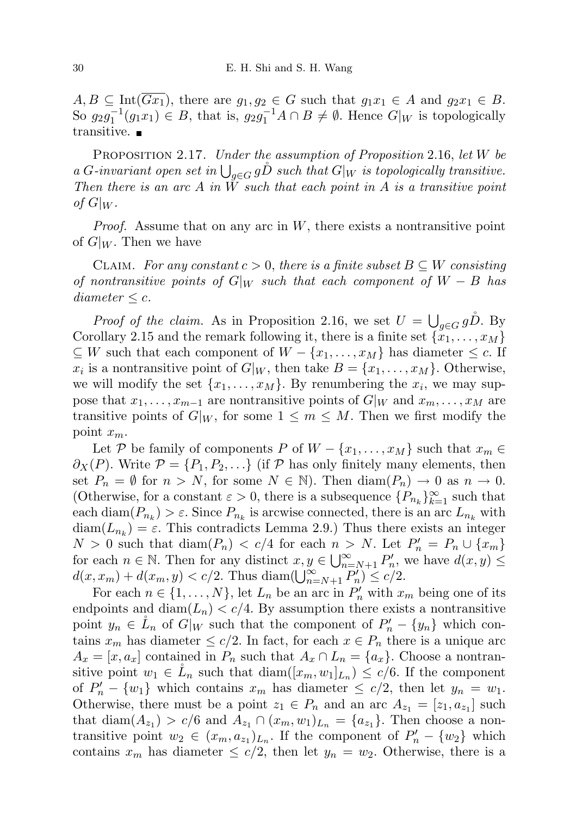$A, B \subseteq \text{Int}(\overline{Gx_1})$ , there are  $g_1, g_2 \in G$  such that  $g_1x_1 \in A$  and  $g_2x_1 \in B$ . So  $g_2g_1^{-1}(g_1x_1) \in B$ , that is,  $g_2g_1^{-1}A \cap B \neq \emptyset$ . Hence  $G|_W$  is topologically transitive.

PROPOSITION 2.17. Under the assumption of Proposition 2.16, let W be a G-invariant open set in  $\bigcup_{g\in G} gD$  such that  $G|_W$  is topologically transitive. Then there is an arc  $A$  in  $\tilde{W}$  such that each point in  $A$  is a transitive point of  $G|_W$ .

*Proof.* Assume that on any arc in  $W$ , there exists a nontransitive point of  $G|_W$ . Then we have

CLAIM. For any constant  $c > 0$ , there is a finite subset  $B \subseteq W$  consisting of nontransitive points of G|w such that each component of  $W - B$  has  $diameter \leq c$ .

*Proof of the claim.* As in Proposition 2.16, we set  $U = \bigcup_{g \in G} g\hat{D}$ . By Corollary 2.15 and the remark following it, there is a finite set  $\{x_1, \ldots, x_M\}$  $\subseteq W$  such that each component of  $W - \{x_1, \ldots, x_M\}$  has diameter  $\leq c$ . If  $x_i$  is a nontransitive point of  $G|_W$ , then take  $B = \{x_1, \ldots, x_M\}$ . Otherwise, we will modify the set  $\{x_1, \ldots, x_M\}$ . By renumbering the  $x_i$ , we may suppose that  $x_1, \ldots, x_{m-1}$  are nontransitive points of  $G|_W$  and  $x_m, \ldots, x_M$  are transitive points of  $G|_W$ , for some  $1 \leq m \leq M$ . Then we first modify the point  $x_m$ .

Let P be family of components P of  $W - \{x_1, \ldots, x_M\}$  such that  $x_m \in$  $\partial_X(P)$ . Write  $\mathcal{P} = \{P_1, P_2, \ldots\}$  (if  $\mathcal{P}$  has only finitely many elements, then set  $P_n = \emptyset$  for  $n > N$ , for some  $N \in \mathbb{N}$ . Then  $\text{diam}(P_n) \to 0$  as  $n \to 0$ . (Otherwise, for a constant  $\varepsilon > 0$ , there is a subsequence  $\{P_{n_k}\}_{k=1}^{\infty}$  such that each  $\text{diam}(P_{n_k}) > \varepsilon$ . Since  $P_{n_k}$  is arcwise connected, there is an arc  $L_{n_k}$  with  $\text{diam}(L_{n_k}) = \varepsilon$ . This contradicts Lemma 2.9.) Thus there exists an integer  $N > 0$  such that  $\text{diam}(P_n) < c/4$  for each  $n > N$ . Let  $P'_n = P_n \cup \{x_m\}$ for each  $n \in \mathbb{N}$ . Then for any distinct  $x, y \in \bigcup_{n=N+1}^{\infty} P'_n$ , we have  $d(x, y) \leq$  $d(x, x_m) + d(x_m, y) < c/2$ . Thus diam $(\bigcup_{n=N+1}^{\infty} P'_n) \leq c/2$ .

For each  $n \in \{1, ..., N\}$ , let  $L_n$  be an arc in  $P'_n$  with  $x_m$  being one of its endpoints and diam( $L_n$ )  $\lt c/4$ . By assumption there exists a nontransitive point  $y_n \in \mathring{L}_n$  of  $G|_W$  such that the component of  $P'_n - \{y_n\}$  which contains  $x_m$  has diameter  $\leq c/2$ . In fact, for each  $x \in P_n$  there is a unique arc  $A_x = [x, a_x]$  contained in  $P_n$  such that  $A_x \cap L_n = \{a_x\}$ . Choose a nontransitive point  $w_1 \in \mathring{L}_n$  such that  $\text{diam}([x_m, w_1]_{L_n}) \leq c/6$ . If the component of  $P'_n - \{w_1\}$  which contains  $x_m$  has diameter  $\leq c/2$ , then let  $y_n = w_1$ . Otherwise, there must be a point  $z_1 \in P_n$  and an arc  $A_{z_1} = [z_1, a_{z_1}]$  such that  $\text{diam}(A_{z_1}) > c/6$  and  $A_{z_1} \cap (x_m, w_1)_{L_n} = \{a_{z_1}\}.$  Then choose a nontransitive point  $w_2 \in (x_m, a_{z_1})_{L_n}$ . If the component of  $P'_n - \{w_2\}$  which contains  $x_m$  has diameter  $\leq c/2$ , then let  $y_n = w_2$ . Otherwise, there is a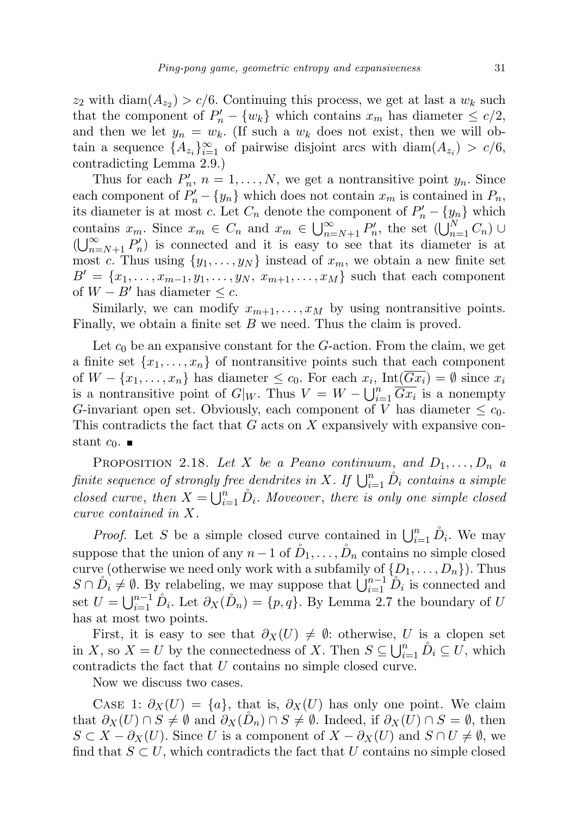$z_2$  with diam $(A_{z_2}) > c/6$ . Continuing this process, we get at last a  $w_k$  such that the component of  $P'_n - \{w_k\}$  which contains  $x_m$  has diameter  $\leq c/2$ , and then we let  $y_n = w_k$ . (If such a  $w_k$  does not exist, then we will obtain a sequence  $\{A_{z_i}\}_{i=1}^{\infty}$  of pairwise disjoint arcs with  $\text{diam}(A_{z_i}) > c/6$ , contradicting Lemma 2.9.)

Thus for each  $P'_n$ ,  $n = 1, ..., N$ , we get a nontransitive point  $y_n$ . Since each component of  $P'_n - \{y_n\}$  which does not contain  $x_m$  is contained in  $P_n$ , its diameter is at most c. Let  $C_n$  denote the component of  $P'_n - \{y_n\}$  which contains  $x_m$ . Since  $x_m \in C_n$  and  $x_m \in \bigcup_{n=N+1}^{\infty} P'_n$ , the set  $(\bigcup_{n=1}^{N} C_n)$  $(\bigcup_{n=N+1}^{\infty} P'_n)$  is connected and it is easy to see that its diameter is at most c. Thus using  $\{y_1, \ldots, y_N\}$  instead of  $x_m$ , we obtain a new finite set  $B' = \{x_1, \ldots, x_{m-1}, y_1, \ldots, y_N, x_{m+1}, \ldots, x_M\}$  such that each component of  $W - B'$  has diameter  $\leq c$ .

Similarly, we can modify  $x_{m+1}, \ldots, x_M$  by using nontransitive points. Finally, we obtain a finite set  $B$  we need. Thus the claim is proved.

Let  $c_0$  be an expansive constant for the G-action. From the claim, we get a finite set  $\{x_1, \ldots, x_n\}$  of nontransitive points such that each component of  $W - \{x_1, \ldots, x_n\}$  has diameter  $\leq c_0$ . For each  $x_i$ ,  $Int(Gx_i) = \emptyset$  since  $x_i$ is a nontransitive point of  $G|_W$ . Thus  $V = W - \bigcup_{i=1}^n \overline{Gx_i}$  is a nonempty G-invariant open set. Obviously, each component of V has diameter  $\leq c_0$ . This contradicts the fact that G acts on X expansively with expansive constant  $c_0$ .  $\blacksquare$ 

PROPOSITION 2.18. Let X be a Peano continuum, and  $D_1, \ldots, D_n$  a finite sequence of strongly free dendrites in X. If  $\bigcup_{i=1}^n \overset{\circ}{D}_i$  contains a simple closed curve, then  $X = \bigcup_{i=1}^n \hat{D}_i$ . Moveover, there is only one simple closed curve contained in X.

*Proof.* Let S be a simple closed curve contained in  $\bigcup_{i=1}^n \hat{D}_i$ . We may suppose that the union of any  $n-1$  of  $\tilde{D}_1, \ldots, \tilde{D}_n$  contains no simple closed curve (otherwise we need only work with a subfamily of  $\{D_1, \ldots, D_n\}$ ). Thus  $S \cap D_i \neq \emptyset$ . By relabeling, we may suppose that  $\bigcup_{i=1}^{n-1} D_i$  is connected and set  $U = \bigcup_{i=1}^{n-1} \hat{D}_i$ . Let  $\partial_X(\hat{D}_n) = \{p, q\}$ . By Lemma 2.7 the boundary of U has at most two points.

First, it is easy to see that  $\partial_X(U) \neq \emptyset$ : otherwise, U is a clopen set in X, so  $X = U$  by the connectedness of X. Then  $S \subseteq \bigcup_{i=1}^{n} D_i \subseteq U$ , which contradicts the fact that U contains no simple closed curve.

Now we discuss two cases.

CASE 1:  $\partial_X(U) = \{a\}$ , that is,  $\partial_X(U)$  has only one point. We claim that  $\partial_X(U) \cap S \neq \emptyset$  and  $\partial_X(D_n) \cap S \neq \emptyset$ . Indeed, if  $\partial_X(U) \cap S = \emptyset$ , then  $S \subset X - \partial_X(U)$ . Since U is a component of  $X - \partial_X(U)$  and  $S \cap U \neq \emptyset$ , we find that  $S \subset U$ , which contradicts the fact that U contains no simple closed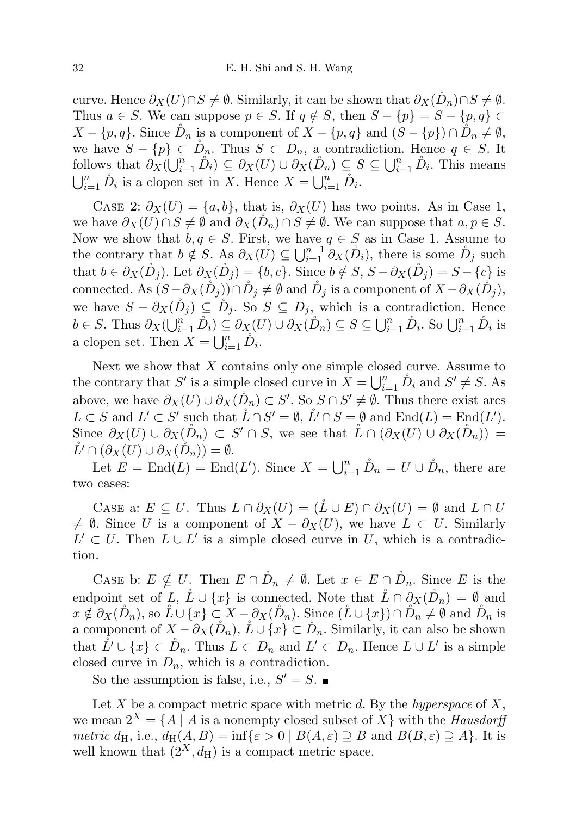curve. Hence  $\partial_X(U) \cap S \neq \emptyset$ . Similarly, it can be shown that  $\partial_X(\tilde{D}_n) \cap S \neq \emptyset$ . Thus  $a \in S$ . We can suppose  $p \in S$ . If  $q \notin S$ , then  $S - \{p\} = S - \{p, q\} \subset$  $X - \{p, q\}$ . Since  $\tilde{D}_n$  is a component of  $X - \{p, q\}$  and  $(S - \{p\}) \cap \tilde{D}_n \neq \emptyset$ , we have  $S - \{p\} \subset D_n$ . Thus  $S \subset D_n$ , a contradiction. Hence  $q \in S$ . It follows that  $\partial_X(\bigcup_{i=1}^n \mathring{D}_i) \subseteq \partial_X(U) \cup \partial_X(\mathring{D}_n) \subseteq S \subseteq \bigcup_{i=1}^n \mathring{D}_i$ . This means  $\bigcup_{i=1}^n \overset{\circ}{D}_i$  is a clopen set in X. Hence  $X = \bigcup_{i=1}^n \overset{\circ}{D}_i$ .

CASE 2:  $\partial_X(U) = \{a, b\}$ , that is,  $\partial_X(U)$  has two points. As in Case 1, we have  $\partial_X(U) \cap S \neq \emptyset$  and  $\partial_X(\tilde{D}_n) \cap S \neq \emptyset$ . We can suppose that  $a, p \in S$ . Now we show that  $b, q \in S$ . First, we have  $q \in S$  as in Case 1. Assume to the contrary that  $b \notin S$ . As  $\partial_X(U) \subseteq \bigcup_{i=1}^{n-1} \partial_X(\mathring{D}_i)$ , there is some  $\mathring{D}_j$  such that  $b \in \partial_X(\mathring{D}_j)$ . Let  $\partial_X(\mathring{D}_j) = \{b, c\}$ . Since  $b \notin S$ ,  $S - \partial_X(\mathring{D}_j) = S - \{c\}$  is connected. As  $(S - \partial_X(\tilde{D}_i)) \cap \tilde{D}_i \neq \emptyset$  and  $\tilde{D}_i$  is a component of  $X - \partial_X(\tilde{D}_i)$ , we have  $S - \partial_X(\mathring{D}_j) \subseteq \mathring{D}_j$ . So  $S \subseteq D_j$ , which is a contradiction. Hence  $b \in S$ . Thus  $\partial_X(\bigcup_{i=1}^n \mathring{D}_i) \subseteq \partial_X(U) \cup \partial_X(\mathring{D}_n) \subseteq S \subseteq \bigcup_{i=1}^n \mathring{D}_i$ . So  $\bigcup_{i=1}^n \mathring{D}_i$  is a clopen set. Then  $X = \bigcup_{i=1}^{n} \overset{\circ}{D_i}$ .

Next we show that  $X$  contains only one simple closed curve. Assume to the contrary that S' is a simple closed curve in  $\tilde{X} = \bigcup_{i=1}^{n} \tilde{D}_i$  and  $S' \neq S$ . As above, we have  $\partial_X(U) \cup \partial_X(\mathring{D}_n) \subset S'$ . So  $S \cap S' \neq \emptyset$ . Thus there exist arcs  $L \subset S$  and  $L' \subset S'$  such that  $\mathring{L} \cap S' = \emptyset$ ,  $\mathring{L'} \cap S = \emptyset$  and  $\text{End}(L) = \text{End}(L')$ . Since  $\partial_X(U) \cup \partial_X(\mathring{D}_n) \subset S' \cap S$ , we see that  $\mathring{L} \cap (\partial_X(U) \cup \partial_X(\mathring{D}_n)) =$  $\check{L}' \cap (\partial_X(U) \cup \partial_X(\check{D}_n)) = \emptyset.$ 

Let  $E = \text{End}(L) = \text{End}(L')$ . Since  $X = \bigcup_{i=1}^{n} \hat{D}_n = U \cup \hat{D}_n$ , there are two cases:

CASE a:  $E \subseteq U$ . Thus  $L \cap \partial_X(U) = (L \cup E) \cap \partial_X(U) = \emptyset$  and  $L \cap U$  $\neq \emptyset$ . Since U is a component of  $X - \partial_X(U)$ , we have  $L \subset U$ . Similarly  $L' ⊂ U$ . Then  $L ∪ L'$  is a simple closed curve in U, which is a contradiction.

CASE b:  $E \nsubseteq U$ . Then  $E \cap D_n \neq \emptyset$ . Let  $x \in E \cap D_n$ . Since E is the endpoint set of L,  $\mathring{L} \cup \{x\}$  is connected. Note that  $\mathring{L} \cap \partial_X(\mathring{D}_n) = \emptyset$  and  $x \notin \partial_X(\tilde{D}_n)$ , so  $\tilde{L} \cup \{x\} \subset X - \partial_X(\tilde{D}_n)$ . Since  $(\tilde{L} \cup \{x\}) \cap \tilde{D}_n \neq \emptyset$  and  $\tilde{D}_n$  is a component of  $X - \partial_X(\tilde{D}_n)$ ,  $\tilde{L} \cup \{x\} \subset \tilde{D}_n$ . Similarly, it can also be shown that  $\mathring{L'} \cup \{x\} \subset \mathring{D}_n$ . Thus  $L \subset D_n$  and  $L' \subset D_n$ . Hence  $L \cup L'$  is a simple closed curve in  $D_n$ , which is a contradiction.

So the assumption is false, i.e.,  $S' = S$ .

Let  $X$  be a compact metric space with metric  $d$ . By the *hyperspace* of  $X$ , we mean  $2^X = \{A \mid A \text{ is a nonempty closed subset of } X\}$  with the Hausdorff metric d<sub>H</sub>, i.e.,  $d_H(A, B) = \inf \{ \varepsilon > 0 \mid B(A, \varepsilon) \supseteq B \text{ and } B(B, \varepsilon) \supseteq A \}.$  It is well known that  $(2^X, d_H)$  is a compact metric space.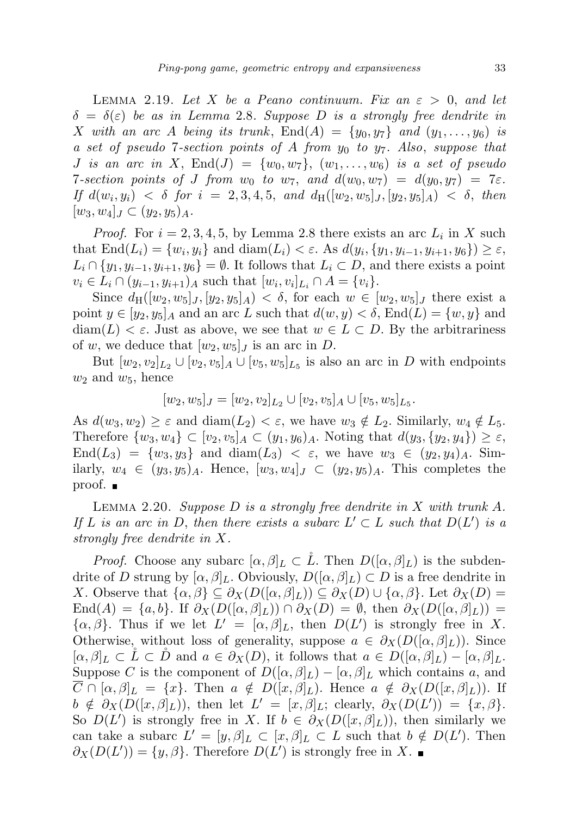LEMMA 2.19. Let X be a Peano continuum. Fix an  $\varepsilon > 0$ , and let  $\delta = \delta(\varepsilon)$  be as in Lemma 2.8. Suppose D is a strongly free dendrite in X with an arc A being its trunk,  $\text{End}(A) = \{y_0, y_7\}$  and  $(y_1, \ldots, y_6)$  is a set of pseudo 7-section points of A from  $y_0$  to  $y_7$ . Also, suppose that J is an arc in X,  $\text{End}(J) = \{w_0, w_7\}$ ,  $(w_1, \ldots, w_6)$  is a set of pseudo 7-section points of J from  $w_0$  to  $w_7$ , and  $d(w_0, w_7) = d(y_0, y_7) = 7\varepsilon$ . If  $d(w_i, y_i) < \delta$  for  $i = 2, 3, 4, 5,$  and  $d_H([w_2, w_5]_J, [y_2, y_5]_A) < \delta$ , then  $[w_3, w_4]_J \subset (y_2, y_5)_A$ .

*Proof.* For  $i = 2, 3, 4, 5$ , by Lemma 2.8 there exists an arc  $L_i$  in X such that  $\text{End}(L_i) = \{w_i, y_i\}$  and  $\text{diam}(L_i) < \varepsilon$ . As  $d(y_i, \{y_1, y_{i-1}, y_{i+1}, y_6\}) \ge \varepsilon$ ,  $L_i \cap \{y_1, y_{i-1}, y_{i+1}, y_6\} = \emptyset$ . It follows that  $L_i \subset D$ , and there exists a point  $v_i \in L_i \cap (y_{i-1}, y_{i+1})_A$  such that  $[w_i, v_i]_{L_i} \cap A = \{v_i\}.$ 

Since  $d_H([w_2, w_5]_J, [y_2, y_5]_A) < \delta$ , for each  $w \in [w_2, w_5]_J$  there exist a point  $y \in [y_2, y_5]_A$  and an arc L such that  $d(w, y) < \delta$ , End $(L) = \{w, y\}$  and  $\text{diam}(L) < \varepsilon$ . Just as above, we see that  $w \in L \subset D$ . By the arbitrariness of w, we deduce that  $[w_2, w_5]_J$  is an arc in D.

But  $[w_2, v_2]_{L_2} \cup [v_2, v_5]_A \cup [v_5, w_5]_{L_5}$  is also an arc in D with endpoints  $w_2$  and  $w_5$ , hence

$$
[w_2, w_5]_J = [w_2, v_2]_{L_2} \cup [v_2, v_5]_A \cup [v_5, w_5]_{L_5}.
$$

As  $d(w_3, w_2) \geq \varepsilon$  and  $diam(L_2) < \varepsilon$ , we have  $w_3 \notin L_2$ . Similarly,  $w_4 \notin L_5$ . Therefore  $\{w_3, w_4\} \subset [v_2, v_5]_A \subset (y_1, y_6)_A$ . Noting that  $d(y_3, \{y_2, y_4\}) \geq \varepsilon$ ,  $\text{End}(L_3) = \{w_3, y_3\}$  and  $\text{diam}(L_3) < \varepsilon$ , we have  $w_3 \in (y_2, y_4)_A$ . Similarly,  $w_4 \in (y_3, y_5)$ <sub>A</sub>. Hence,  $[w_3, w_4]_J \subset (y_2, y_5)$ <sub>A</sub>. This completes the proof. ■

LEMMA 2.20. Suppose  $D$  is a strongly free dendrite in  $X$  with trunk  $A$ . If L is an arc in D, then there exists a subarc  $L' \subset L$  such that  $D(L')$  is a strongly free dendrite in X.

*Proof.* Choose any subarc  $[\alpha, \beta]_L \subset L$ . Then  $D([\alpha, \beta]_L)$  is the subdendrite of D strung by  $[\alpha, \beta]_L$ . Obviously,  $D([\alpha, \beta]_L) \subset D$  is a free dendrite in X. Observe that  $\{\alpha,\beta\} \subseteq \partial_X(D([\alpha,\beta]_L)) \subseteq \partial_X(D) \cup \{\alpha,\beta\}$ . Let  $\partial_X(D) =$ End(A) = {a, b}. If  $\partial_X(D([\alpha,\beta]_L)) \cap \partial_X(D) = \emptyset$ , then  $\partial_X(D([\alpha,\beta]_L))$  =  $\{\alpha,\beta\}$ . Thus if we let  $L' = [\alpha,\beta]_L$ , then  $D(L')$  is strongly free in X. Otherwise, without loss of generality, suppose  $a \in \partial_X(D([\alpha,\beta]_L))$ . Since  $[\alpha, \beta]_L \subset L \subset \tilde{D}$  and  $a \in \partial_X(D)$ , it follows that  $a \in D([\alpha, \beta]_L) - [\alpha, \beta]_L$ . Suppose C is the component of  $D([\alpha,\beta]_L) - [\alpha,\beta]_L$  which contains a, and  $C \cap [\alpha, \beta]_L = \{x\}.$  Then  $a \notin D([x, \beta]_L)$ . Hence  $a \notin \partial_X(D([x, \beta]_L))$ . If  $b \notin \partial_X(D([x,\beta]_L))$ , then let  $L' = [x,\beta]_L$ ; clearly,  $\partial_X(D(L')) = \{x,\beta\}.$ So  $D(L')$  is strongly free in X. If  $b \in \partial_X(D([x,\beta]_L))$ , then similarly we can take a subarc  $L' = [y, \beta]_L \subset [x, \beta]_L \subset L$  such that  $b \notin D(L')$ . Then  $\partial_X(D(L')) = \{y, \beta\}.$  Therefore  $D(L')$  is strongly free in X.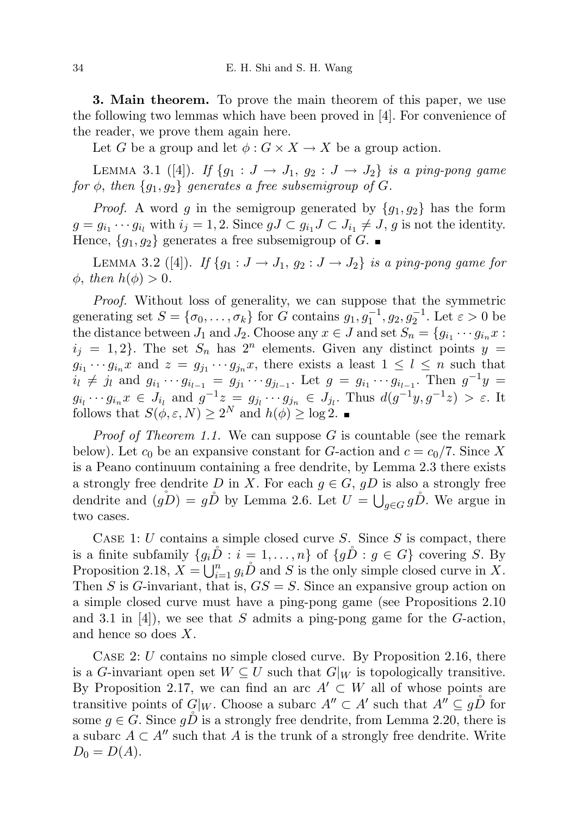3. Main theorem. To prove the main theorem of this paper, we use the following two lemmas which have been proved in [4]. For convenience of the reader, we prove them again here.

Let G be a group and let  $\phi: G \times X \to X$  be a group action.

LEMMA 3.1 ([4]). If  $\{g_1: J \to J_1, g_2: J \to J_2\}$  is a ping-pong game for  $\phi$ , then  $\{g_1, g_2\}$  generates a free subsemigroup of G.

*Proof.* A word g in the semigroup generated by  ${g_1, g_2}$  has the form  $g = g_{i_1} \cdots g_{i_l}$  with  $i_j = 1, 2$ . Since  $gJ \subset g_{i_1}J \subset J_{i_1} \neq J$ , g is not the identity. Hence,  ${g_1, g_2}$  generates a free subsemigroup of G.

LEMMA 3.2 ([4]). If  $\{g_1: J \to J_1, g_2: J \to J_2\}$  is a ping-pong game for  $\phi$ , then  $h(\phi) > 0$ .

Proof. Without loss of generality, we can suppose that the symmetric generating set  $S = {\sigma_0, \ldots, \sigma_k}$  for G contains  $g_1, g_1^{-1}, g_2, g_2^{-1}$ . Let  $\varepsilon > 0$  be the distance between  $J_1$  and  $J_2$ . Choose any  $x \in J$  and set  $S_n = \{g_{i_1} \cdots g_{i_n} x$ :  $i_j = 1, 2$ . The set  $S_n$  has  $2^n$  elements. Given any distinct points  $y =$  $g_{i_1} \cdots g_{i_n} x$  and  $z = g_{j_1} \cdots g_{j_n} x$ , there exists a least  $1 \leq l \leq n$  such that  $i_l \neq j_l$  and  $g_{i_1} \cdots g_{i_{l-1}} = g_{j_1} \cdots g_{j_{l-1}}$ . Let  $g = g_{i_1} \cdots g_{i_{l-1}}$ . Then  $g^{-1}y =$  $g_{i_l} \cdots g_{i_n} x \in J_{i_l}$  and  $g^{-1} z = g_{j_l} \cdots g_{j_n} \in J_{j_l}$ . Thus  $d(g^{-1} y, g^{-1} z) > \varepsilon$ . It follows that  $S(\phi, \varepsilon, N) \geq 2^N$  and  $h(\phi) \geq \log 2$ .

*Proof of Theorem 1.1.* We can suppose  $G$  is countable (see the remark below). Let  $c_0$  be an expansive constant for G-action and  $c = c_0/7$ . Since X is a Peano continuum containing a free dendrite, by Lemma 2.3 there exists a strongly free dendrite D in X. For each  $g \in G$ ,  $gD$  is also a strongly free dendrite and  $(g\ring{D}) = g\cancel{D}$  by Lemma 2.6. Let  $U = \bigcup_{g \in G} g\cancel{D}$ . We argue in two cases.

CASE 1: U contains a simple closed curve S. Since S is compact, there is a finite subfamily  $\{g_i\tilde{D}: i = 1, \ldots, n\}$  of  $\{g\tilde{D}: g \in G\}$  covering S. By Proposition 2.18,  $X = \bigcup_{i=1}^{n} g_i \mathring{D}$  and S is the only simple closed curve in X. Then S is G-invariant, that is,  $GS = S$ . Since an expansive group action on a simple closed curve must have a ping-pong game (see Propositions 2.10 and 3.1 in [4]), we see that S admits a ping-pong game for the G-action, and hence so does X.

CASE 2: U contains no simple closed curve. By Proposition 2.16, there is a G-invariant open set  $W \subseteq U$  such that  $G|_W$  is topologically transitive. By Proposition 2.17, we can find an arc  $A' \subset W$  all of whose points are transitive points of  $G|_W$ . Choose a subarc  $A'' \subset A'$  such that  $A'' \subseteq g\overset{\circ}{D}$  for some  $g \in G$ . Since  $g\bar{D}$  is a strongly free dendrite, from Lemma 2.20, there is a subarc  $A \subset A''$  such that A is the trunk of a strongly free dendrite. Write  $D_0 = D(A).$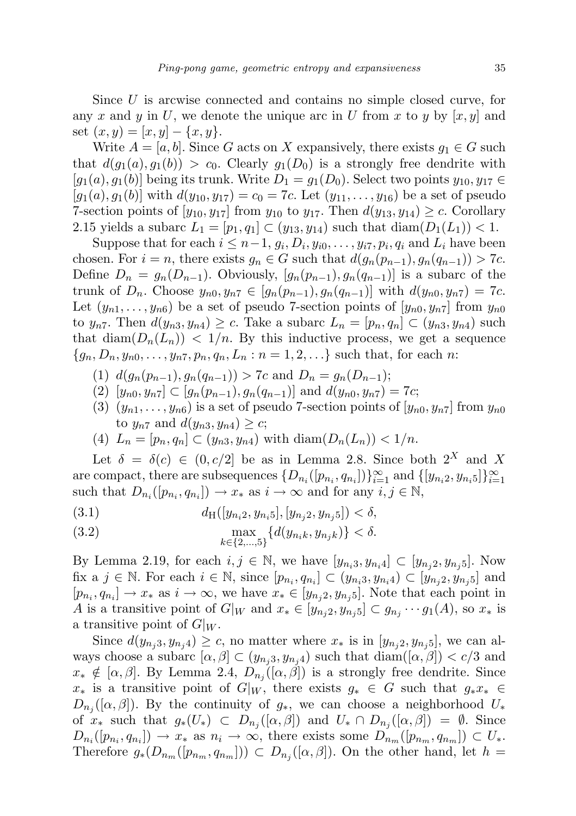Since U is arcwise connected and contains no simple closed curve, for any x and y in U, we denote the unique arc in U from x to y by  $|x, y|$  and set  $(x, y) = [x, y] - \{x, y\}.$ 

Write  $A = [a, b]$ . Since G acts on X expansively, there exists  $g_1 \in G$  such that  $d(g_1(a), g_1(b)) > c_0$ . Clearly  $g_1(D_0)$  is a strongly free dendrite with  $[g_1(a), g_1(b)]$  being its trunk. Write  $D_1 = g_1(D_0)$ . Select two points  $y_{10}, y_{17} \in$  $[g_1(a), g_1(b)]$  with  $d(y_{10}, y_{17}) = c_0 = 7c$ . Let  $(y_{11}, \ldots, y_{16})$  be a set of pseudo 7-section points of  $[y_{10}, y_{17}]$  from  $y_{10}$  to  $y_{17}$ . Then  $d(y_{13}, y_{14}) \geq c$ . Corollary 2.15 yields a subarc  $L_1 = [p_1, q_1] \subset (y_{13}, y_{14})$  such that  $\text{diam}(D_1(L_1)) < 1$ .

Suppose that for each  $i \leq n-1, g_i, D_i, y_{i0}, \ldots, y_{i7}, p_i, q_i$  and  $L_i$  have been chosen. For  $i = n$ , there exists  $g_n \in G$  such that  $d(g_n(p_{n-1}), g_n(q_{n-1})) > 7c$ . Define  $D_n = g_n(D_{n-1})$ . Obviously,  $[g_n(p_{n-1}), g_n(q_{n-1})]$  is a subarc of the trunk of  $D_n$ . Choose  $y_{n0}, y_{n7} \in [g_n(p_{n-1}), g_n(q_{n-1})]$  with  $d(y_{n0}, y_{n7}) = 7c$ . Let  $(y_{n1},...,y_{n6})$  be a set of pseudo 7-section points of  $[y_{n0}, y_{n7}]$  from  $y_{n0}$ to  $y_{n7}$ . Then  $d(y_{n3}, y_{n4}) \geq c$ . Take a subarc  $L_n = [p_n, q_n] \subset (y_{n3}, y_{n4})$  such that  $\text{diam}(D_n(L_n)) < 1/n$ . By this inductive process, we get a sequence  ${g_n, D_n, y_{n0}, \ldots, y_{n7}, p_n, q_n, L_n : n = 1, 2, \ldots}$  such that, for each n:

- (1)  $d(g_n(p_{n-1}), g_n(q_{n-1})) > 7c$  and  $D_n = g_n(D_{n-1});$
- (2)  $[y_{n0}, y_{n7}] \subset [g_n(p_{n-1}), g_n(q_{n-1})]$  and  $d(y_{n0}, y_{n7}) = 7c$ ;
- (3)  $(y_{n1}, \ldots, y_{n6})$  is a set of pseudo 7-section points of  $[y_{n0}, y_{n7}]$  from  $y_{n0}$ to  $y_{n7}$  and  $d(y_{n3}, y_{n4}) \geq c$ ;
- (4)  $L_n = [p_n, q_n] \subset (y_{n3}, y_{n4})$  with  $\text{diam}(D_n(L_n)) < 1/n$ .

Let  $\delta = \delta(c) \in (0, c/2]$  be as in Lemma 2.8. Since both  $2^X$  and X are compact, there are subsequences  $\{D_{n_i}([p_{n_i}, q_{n_i}])\}_{i=1}^{\infty}$  and  $\{[y_{n_i2}, y_{n_i5}]\}_{i=1}^{\infty}$ such that  $D_{n_i}([p_{n_i}, q_{n_i}]) \to x_*$  as  $i \to \infty$  and for any  $i, j \in \mathbb{N}$ ,

(3.1) 
$$
d_{\mathrm{H}}([y_{n_i2}, y_{n_i5}], [y_{n_j2}, y_{n_j5}]) < \delta,
$$

(3.2) 
$$
\max_{k \in \{2,\dots,5\}} \{d(y_{n,k}, y_{njk})\} < \delta.
$$

By Lemma 2.19, for each  $i, j \in \mathbb{N}$ , we have  $[y_{n_i3}, y_{n_i4}] \subset [y_{n_j2}, y_{n_j5}]$ . Now fix a  $j \in \mathbb{N}$ . For each  $i \in \mathbb{N}$ , since  $[p_{n_i}, q_{n_i}] \subset (y_{n_i,3}, y_{n_i,4}) \subset [y_{n_j,2}, y_{n_j,5}]$  and  $[p_{n_i}, q_{n_i}] \to x_*$  as  $i \to \infty$ , we have  $x_* \in [y_{n_j 2}, y_{n_j 5}]$ . Note that each point in A is a transitive point of  $G|_W$  and  $x_* \in [y_{n_j2}, y_{n_j5}] \subset g_{n_j} \cdots g_1(A)$ , so  $x_*$  is a transitive point of  $G|_W$ .

Since  $d(y_{n,i}, y_{n,i}) \geq c$ , no matter where  $x_*$  is in  $|y_{n,i}, y_{n,i}|$ , we can always choose a subarc  $[\alpha, \beta] \subset (y_{n,i}, y_{n,i})$  such that  $\text{diam}([\alpha, \beta]) < c/3$  and  $x_* \notin [\alpha, \beta]$ . By Lemma 2.4,  $D_{n_j}([\alpha, \beta])$  is a strongly free dendrite. Since  $x_*$  is a transitive point of  $G|_W$ , there exists  $g_* \in G$  such that  $g_*x_* \in G$  $D_{n_j}([\alpha,\beta])$ . By the continuity of  $g_*$ , we can choose a neighborhood  $U_*$ of  $x_*$  such that  $g_*(U_*) \subset D_{n_j}([\alpha,\beta])$  and  $U_* \cap D_{n_j}([\alpha,\beta]) = \emptyset$ . Since  $D_{n_i}([p_{n_i}, q_{n_i}]) \to x_*$  as  $n_i \to \infty$ , there exists some  $D_{n_m}([p_{n_m}, q_{n_m}]) \subset U_*$ . Therefore  $g_*(D_{n_m}([p_{n_m}, q_{n_m}])) \subset D_{n_j}([\alpha, \beta])$ . On the other hand, let  $h =$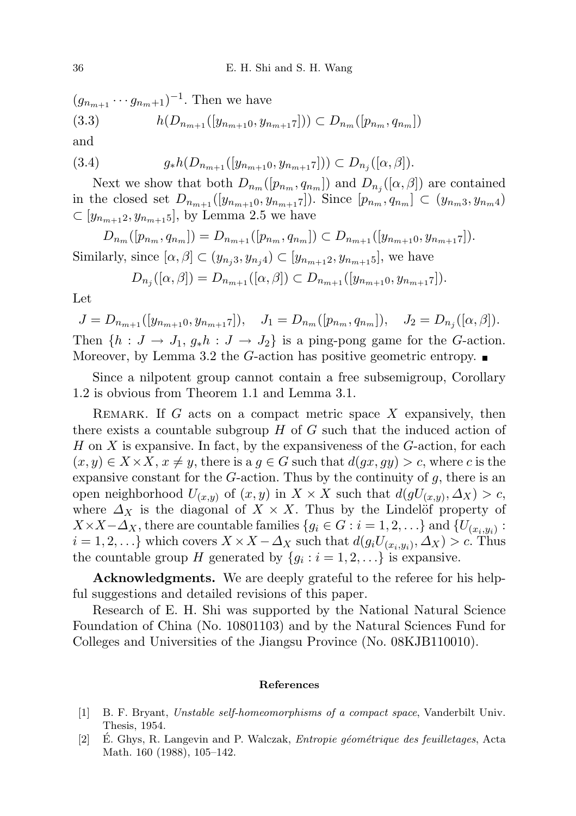$(g_{n_{m+1}}\cdots g_{n_m+1})^{-1}$ . Then we have (3.3)  $h(D_{n_{m+1}}([y_{n_{m+1}0}, y_{n_{m+1}7}])) \subset D_{n_m}([p_{n_m}, q_{n_m}])$ and

$$
(3.4) \t\t g_*h(D_{n_{m+1}}([y_{n_{m+1}0}, y_{n_{m+1}7}])) \subset D_{n_j}([\alpha, \beta]).
$$

Next we show that both  $D_{n_m}([p_{n_m}, q_{n_m}])$  and  $D_{n_j}([\alpha, \beta])$  are contained in the closed set  $D_{n_{m+1}}([y_{n_{m+1}0}, y_{n_{m+1}7}])$ . Since  $[p_{n_m}, q_{n_m}] \subset (y_{n_m,3}, y_{n_m,4})$  $\subset [y_{n_{m+1}2}, y_{n_{m+1}5}]$ , by Lemma 2.5 we have

 $D_{n_m}([p_{n_m}, q_{n_m}]) = D_{n_{m+1}}([p_{n_m}, q_{n_m}]) \subset D_{n_{m+1}}([y_{n_{m+1}0}, y_{n_{m+1}7}]).$ Similarly, since  $[\alpha, \beta] \subset (y_{n,i}, y_{n,i}) \subset [y_{n,m+1}, y_{n,m+1}, z]$ , we have

$$
D_{n_j}([\alpha,\beta]) = D_{n_{m+1}}([\alpha,\beta]) \subset D_{n_{m+1}}([y_{n_{m+1}0}, y_{n_{m+1}7}]).
$$

Let

 $J = D_{n_{m+1}}([y_{n_{m+1}0}, y_{n_{m+1}7}]), \quad J_1 = D_{n_m}([p_{n_m}, q_{n_m}]), \quad J_2 = D_{n_j}([\alpha, \beta]).$ Then  $\{h: J \to J_1, g_*h: J \to J_2\}$  is a ping-pong game for the G-action. Moreover, by Lemma 3.2 the G-action has positive geometric entropy.  $\blacksquare$ 

Since a nilpotent group cannot contain a free subsemigroup, Corollary 1.2 is obvious from Theorem 1.1 and Lemma 3.1.

REMARK. If  $G$  acts on a compact metric space  $X$  expansively, then there exists a countable subgroup  $H$  of  $G$  such that the induced action of  $H$  on  $X$  is expansive. In fact, by the expansiveness of the  $G$ -action, for each  $(x, y) \in X \times X$ ,  $x \neq y$ , there is a  $g \in G$  such that  $d(gx, gy) > c$ , where c is the expansive constant for the  $G$ -action. Thus by the continuity of  $g$ , there is an open neighborhood  $U_{(x,y)}$  of  $(x, y)$  in  $X \times X$  such that  $d(gU_{(x,y)}, \Delta_X) > c$ , where  $\Delta_X$  is the diagonal of  $X \times X$ . Thus by the Lindelöf property of  $X \times X - \Delta_X$ , there are countable families  $\{g_i \in G : i = 1, 2, \ldots\}$  and  $\{U_{(x_i, y_i)} :$  $i = 1, 2, \ldots\}$  which covers  $X \times X - \Delta_X$  such that  $d(g_i U_{(x_i, y_i)}, \Delta_X) > c$ . Thus the countable group H generated by  $\{g_i : i = 1, 2, \ldots\}$  is expansive.

Acknowledgments. We are deeply grateful to the referee for his helpful suggestions and detailed revisions of this paper.

Research of E. H. Shi was supported by the National Natural Science Foundation of China (No. 10801103) and by the Natural Sciences Fund for Colleges and Universities of the Jiangsu Province (No. 08KJB110010).

## References

- [1] B. F. Bryant, Unstable self-homeomorphisms of a compact space, Vanderbilt Univ. Thesis, 1954.
- [2] E. Ghys, R. Langevin and P. Walczak, *Entropie géométrique des feuilletages*, Acta Math. 160 (1988), 105–142.